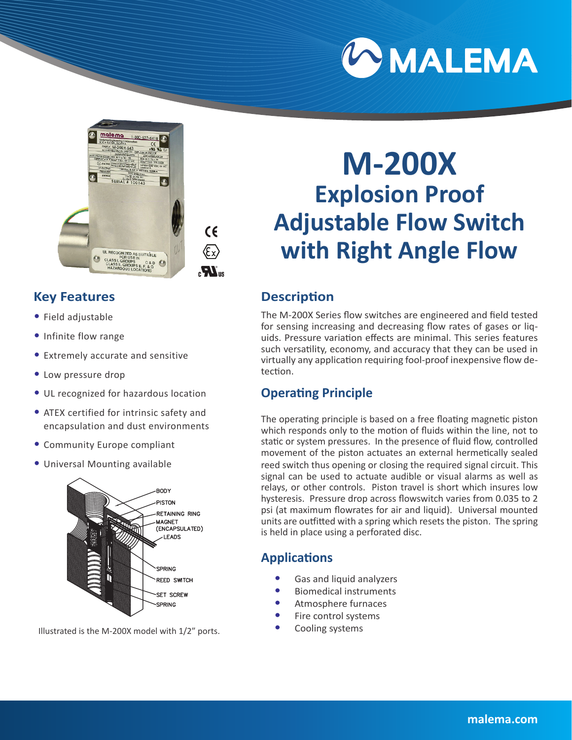



 $C<sub>6</sub>$  $\langle \widehat{\epsilon} \times \rangle$  $\boldsymbol{M}_\mathrm{m}$ 

# **Key Features**

- Field adjustable
- Infinite flow range
- Extremely accurate and sensitive
- Low pressure drop
- UL recognized for hazardous location
- ATEX certified for intrinsic safety and encapsulation and dust environments
- Community Europe compliant
- Universal Mounting available



Illustrated is the M-200X model with 1/2" ports.

# **M-200X Explosion Proof Adjustable Flow Switch with Right Angle Flow**

# **Description**

The M-200X Series flow switches are engineered and field tested for sensing increasing and decreasing flow rates of gases or liquids. Pressure variation effects are minimal. This series features such versatility, economy, and accuracy that they can be used in virtually any application requiring fool-proof inexpensive flow detection.

# **Operating Principle**

The operating principle is based on a free floating magnetic piston which responds only to the motion of fluids within the line, not to static or system pressures. In the presence of fluid flow, controlled movement of the piston actuates an external hermetically sealed reed switch thus opening or closing the required signal circuit. This signal can be used to actuate audible or visual alarms as well as relays, or other controls. Piston travel is short which insures low hysteresis. Pressure drop across flowswitch varies from 0.035 to 2 psi (at maximum flowrates for air and liquid). Universal mounted units are outfitted with a spring which resets the piston. The spring is held in place using a perforated disc.

# **Applications**

- Gas and liquid analyzers
- Biomedical instruments
- Atmosphere furnaces
- Fire control systems
- Cooling systems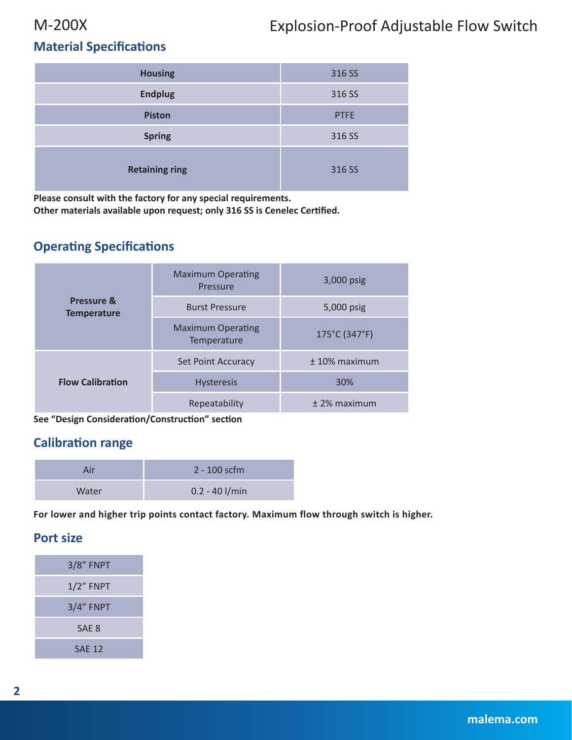# M-200X Explosion-Proof Adjustable Flow Switch

# **Material Specifications**

| <b>Housing</b>        | 316 SS      |
|-----------------------|-------------|
| <b>Endplug</b>        | 316 SS      |
| <b>Piston</b>         | <b>PTFE</b> |
| <b>Spring</b>         | 316 SS      |
| <b>Retaining ring</b> | 316 SS      |

**Please consult with the factory for any special requirements.**

**Other materials available upon request; only 316 SS is Cenelec Certified.**

### **Operating Specifications**

| Pressure &<br><b>Temperature</b> | <b>Maximum Operating</b><br>Pressure    | $3,000$ psig    |  |  |
|----------------------------------|-----------------------------------------|-----------------|--|--|
|                                  | <b>Burst Pressure</b>                   | 5,000 psig      |  |  |
|                                  | <b>Maximum Operating</b><br>Temperature | 175°C (347°F)   |  |  |
|                                  | <b>Set Point Accuracy</b>               | $± 10%$ maximum |  |  |
| <b>Flow Calibration</b>          | <b>Hysteresis</b>                       | 30%             |  |  |
|                                  | Repeatability                           | $±$ 2% maximum  |  |  |

**See "Design Consideration/Construction" section**

### **Calibration range**

| Air   | $2 - 100$ scfm   |
|-------|------------------|
| Water | $0.2 - 40$ I/min |

**For lower and higher trip points contact factory. Maximum flow through switch is higher.**

### **Port size**

| <b>3/8" FNPT</b> |
|------------------|
| $1/2$ " $FNPT$   |
| 3/4" FNPT        |
| SAF <sub>8</sub> |
| <b>SAF 12</b>    |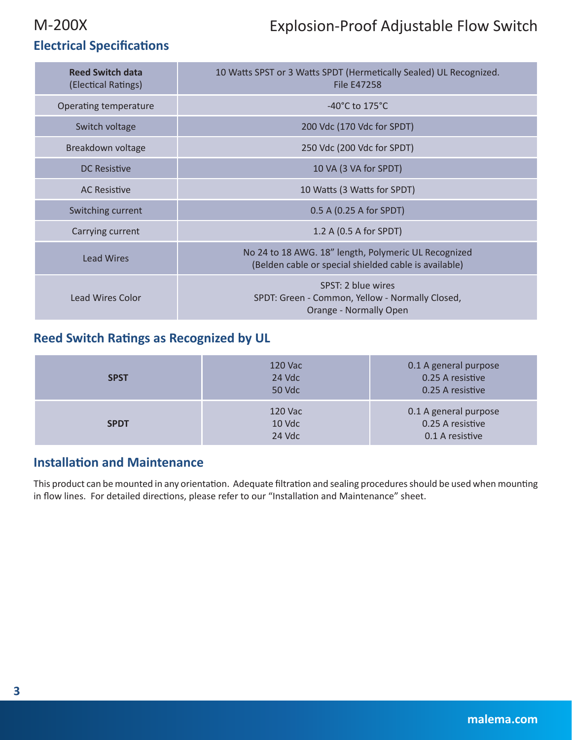# M-200X Explosion-Proof Adjustable Flow Switch

# **Electrical Specifications**

| <b>Reed Switch data</b><br>(Electical Ratings) | 10 Watts SPST or 3 Watts SPDT (Hermetically Sealed) UL Recognized.<br><b>File E47258</b>                      |  |  |  |
|------------------------------------------------|---------------------------------------------------------------------------------------------------------------|--|--|--|
| Operating temperature                          | $-40^{\circ}$ C to 175 $^{\circ}$ C                                                                           |  |  |  |
| Switch voltage                                 | 200 Vdc (170 Vdc for SPDT)                                                                                    |  |  |  |
| Breakdown voltage                              | 250 Vdc (200 Vdc for SPDT)                                                                                    |  |  |  |
| <b>DC Resistive</b>                            | 10 VA (3 VA for SPDT)                                                                                         |  |  |  |
| <b>AC Resistive</b>                            | 10 Watts (3 Watts for SPDT)                                                                                   |  |  |  |
| Switching current                              | 0.5 A (0.25 A for SPDT)                                                                                       |  |  |  |
| Carrying current                               | 1.2 A (0.5 A for SPDT)                                                                                        |  |  |  |
| <b>Lead Wires</b>                              | No 24 to 18 AWG. 18" length, Polymeric UL Recognized<br>(Belden cable or special shielded cable is available) |  |  |  |
| Lead Wires Color                               | SPST: 2 blue wires<br>SPDT: Green - Common, Yellow - Normally Closed,<br>Orange - Normally Open               |  |  |  |

# **Reed Switch Ratings as Recognized by UL**

| <b>SPST</b> | 120 Vac<br>24 Vdc<br>50 Vdc | 0.1 A general purpose<br>0.25 A resistive<br>0.25 A resistive |  |  |
|-------------|-----------------------------|---------------------------------------------------------------|--|--|
| <b>SPDT</b> | 120 Vac<br>10 Vdc<br>24 Vdc | 0.1 A general purpose<br>0.25 A resistive<br>0.1 A resistive  |  |  |

### **Installation and Maintenance**

This product can be mounted in any orientation. Adequate filtration and sealing procedures should be used when mounting in flow lines. For detailed directions, please refer to our "Installation and Maintenance" sheet.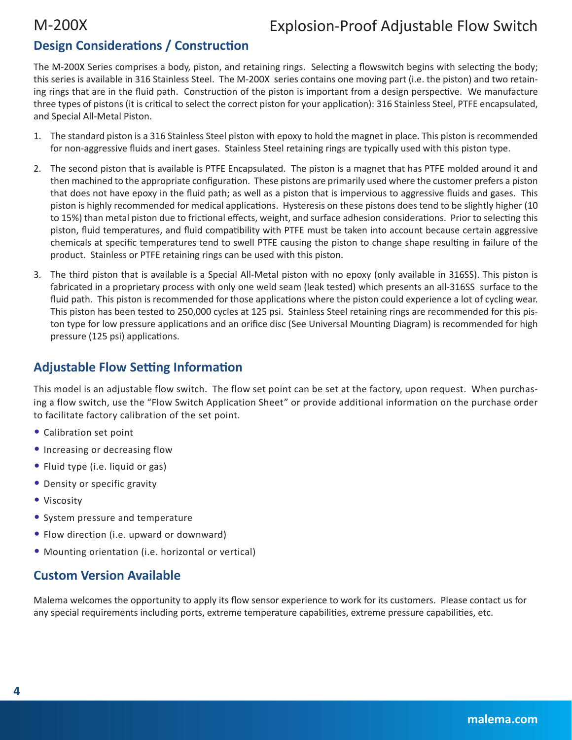# **Design Considerations / Construction**

The M-200X Series comprises a body, piston, and retaining rings. Selecting a flowswitch begins with selecting the body; this series is available in 316 Stainless Steel. The M-200X series contains one moving part (i.e. the piston) and two retaining rings that are in the fluid path. Construction of the piston is important from a design perspective. We manufacture three types of pistons (it is critical to select the correct piston for your application): 316 Stainless Steel, PTFE encapsulated, and Special All-Metal Piston.

- 1. The standard piston is a 316 Stainless Steel piston with epoxy to hold the magnet in place. This piston is recommended for non-aggressive fluids and inert gases. Stainless Steel retaining rings are typically used with this piston type.
- 2. The second piston that is available is PTFE Encapsulated. The piston is a magnet that has PTFE molded around it and then machined to the appropriate configuration. These pistons are primarily used where the customer prefers a piston that does not have epoxy in the fluid path; as well as a piston that is impervious to aggressive fluids and gases. This piston is highly recommended for medical applications. Hysteresis on these pistons does tend to be slightly higher (10 to 15%) than metal piston due to frictional effects, weight, and surface adhesion considerations. Prior to selecting this piston, fluid temperatures, and fluid compatibility with PTFE must be taken into account because certain aggressive chemicals at specific temperatures tend to swell PTFE causing the piston to change shape resulting in failure of the product. Stainless or PTFE retaining rings can be used with this piston.
- 3. The third piston that is available is a Special All-Metal piston with no epoxy (only available in 316SS). This piston is fabricated in a proprietary process with only one weld seam (leak tested) which presents an all-316SS surface to the fluid path. This piston is recommended for those applications where the piston could experience a lot of cycling wear. This piston has been tested to 250,000 cycles at 125 psi. Stainless Steel retaining rings are recommended for this piston type for low pressure applications and an orifice disc (See Universal Mounting Diagram) is recommended for high pressure (125 psi) applications.

### **Adjustable Flow Setting Information**

This model is an adjustable flow switch. The flow set point can be set at the factory, upon request. When purchasing a flow switch, use the "Flow Switch Application Sheet" or provide additional information on the purchase order to facilitate factory calibration of the set point.

- Calibration set point
- Increasing or decreasing flow
- Fluid type (i.e. liquid or gas)
- Density or specific gravity
- Viscosity
- System pressure and temperature
- Flow direction (i.e. upward or downward)
- Mounting orientation (i.e. horizontal or vertical)

# **Custom Version Available**

Malema welcomes the opportunity to apply its flow sensor experience to work for its customers. Please contact us for any special requirements including ports, extreme temperature capabilities, extreme pressure capabilities, etc.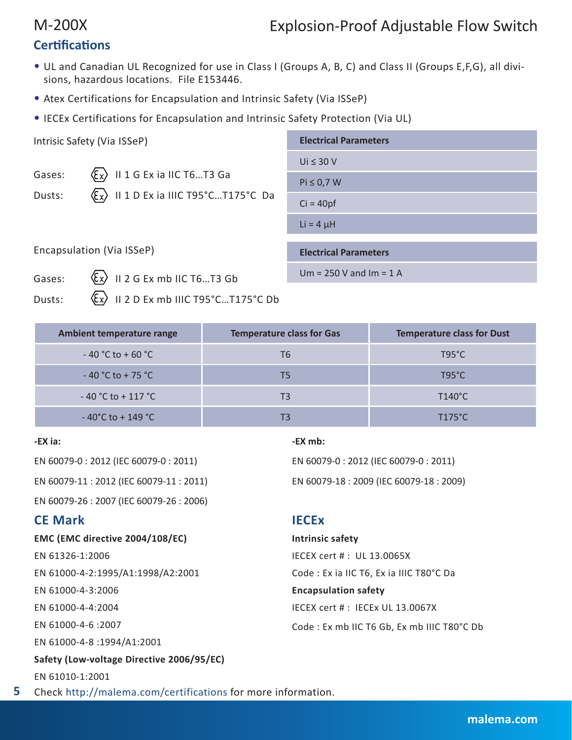# M-200X Explosion-Proof Adjustable Flow Switch

# **Certifications**

- UL and Canadian UL Recognized for use in Class I (Groups A, B, C) and Class II (Groups E,F,G), all divisions, hazardous locations. File E153446.
- Atex Certifications for Encapsulation and Intrinsic Safety (Via ISSeP)
- IECEx Certifications for Encapsulation and Intrinsic Safety Protection (Via UL)

| Intrisic Safety (Via ISSeP) |                                                                                                                         | <b>Electrical Parameters</b> |  |  |
|-----------------------------|-------------------------------------------------------------------------------------------------------------------------|------------------------------|--|--|
|                             |                                                                                                                         | Ui $\leq 30$ V               |  |  |
| Gases:                      | $\langle \xi_x \rangle$ II 1 G Ex ia IIC T6T3 Ga<br>$\langle \overline{\xi_x} \rangle$ II 1 D Ex ia IIIC T95°CT175°C Da | $Pi \leq 0.7 W$              |  |  |
| Dusts:                      |                                                                                                                         | $Ci = 40pf$                  |  |  |
|                             |                                                                                                                         | Li = $4 \mu$ H               |  |  |
| Encapsulation (Via ISSeP)   |                                                                                                                         | <b>Electrical Parameters</b> |  |  |
| Gases:                      | $\langle \xi_x \rangle$ II 2 G Ex mb IIC T6T3 Gb                                                                        | $Um = 250 V and Im = 1 A$    |  |  |
| Dusts:                      | $\langle \xi_x \rangle$ II 2 D Ex mb IIIC T95°CT175°C Db                                                                |                              |  |  |

| Ambient temperature range             | <b>Temperature class for Gas</b> | <b>Temperature class for Dust</b> |
|---------------------------------------|----------------------------------|-----------------------------------|
| $-40 °C$ to $+60 °C$                  | Т6                               | $T95^{\circ}C$                    |
| $-40 °C$ to + 75 $°C$                 | Т5                               | $T95^{\circ}C$                    |
| $-40$ °C to + 117 °C                  | T3                               | T140°C                            |
| $-40^{\circ}$ C to + 149 $^{\circ}$ C |                                  | $T175^{\circ}$ C                  |

### **-EX ia:**

EN 60079-0 : 2012 (IEC 60079-0 : 2011) EN 60079-11 : 2012 (IEC 60079-11 : 2011)

EN 60079-26 : 2007 (IEC 60079-26 : 2006)

### **CE Mark**

**5**

**EMC (EMC directive 2004/108/EC)**

EN 61326-1:2006 EN 61000-4-2:1995/A1:1998/A2:2001 EN 61000-4-3:2006 EN 61000-4-4:2004 EN 61000-4-6 :2007 EN 61000-4-8 :1994/A1:2001 **Safety (Low-voltage Directive 2006/95/EC)** EN 61010-1:2001 Check http://malema.com/certifications for more information.

### **-EX mb:**

EN 60079-0 : 2012 (IEC 60079-0 : 2011) EN 60079-18 : 2009 (IEC 60079-18 : 2009)

### **IECEx**

**Intrinsic safety** IECEX cert # : UL 13.0065X Code : Ex ia IIC T6, Ex ia IIIC T80°C Da **Encapsulation safety** IECEX cert # : IECEx UL 13.0067X Code : Ex mb IIC T6 Gb, Ex mb IIIC T80°C Db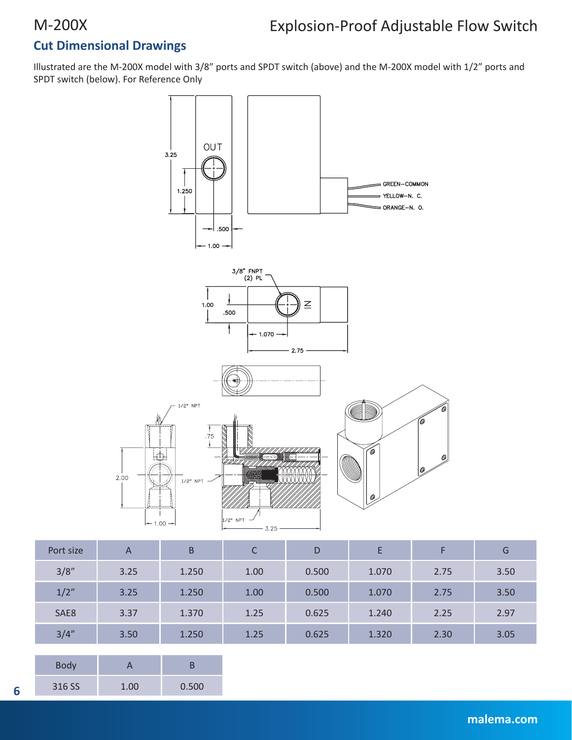# **Cut Dimensional Drawings**

Illustrated are the M-200X model with 3/8" ports and SPDT switch (above) and the M-200X model with 1/2" ports and SPDT switch (below). For Reference Only



| Port size | A    | B     | $\sqrt{ }$<br>Ć | D     |       |      | G    |
|-----------|------|-------|-----------------|-------|-------|------|------|
| 3/8''     | 3.25 | 1.250 | 1.00            | 0.500 | 1.070 | 2.75 | 3.50 |
| 1/2"      | 3.25 | 1.250 | 1.00            | 0.500 | 1.070 | 2.75 | 3.50 |
| SAE8      | 3.37 | 1.370 | 1.25            | 0.625 | 1.240 | 2.25 | 2.97 |
| 3/4''     | 3.50 | 1.250 | 1.25            | 0.625 | 1.320 | 2.30 | 3.05 |

| <b>Body</b> |      |       |  |  |
|-------------|------|-------|--|--|
| 316 SS      | 1.00 | 0.500 |  |  |